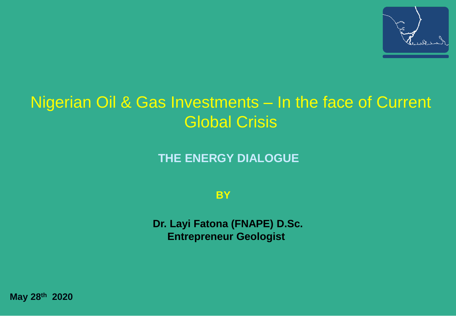

## Nigerian Oil & Gas Investments – In the face of Current Global Crisis

**THE ENERGY DIALOGUE** 

**BY**

**Dr. Layi Fatona (FNAPE) D.Sc. Entrepreneur Geologist**

**May 28th 2020**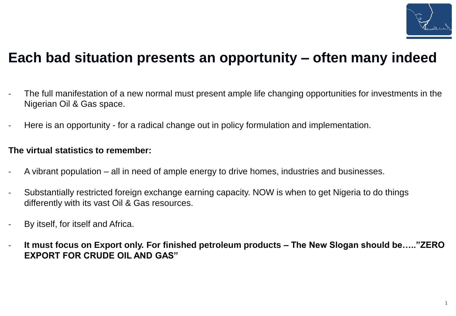

## **Each bad situation presents an opportunity – often many indeed**

- The full manifestation of a new normal must present ample life changing opportunities for investments in the Nigerian Oil & Gas space.
- Here is an opportunity for a radical change out in policy formulation and implementation.

#### **The virtual statistics to remember:**

- A vibrant population all in need of ample energy to drive homes, industries and businesses.
- Substantially restricted foreign exchange earning capacity. NOW is when to get Nigeria to do things differently with its vast Oil & Gas resources.
- By itself, for itself and Africa.
- **It must focus on Export only. For finished petroleum products – The New Slogan should be….."ZERO EXPORT FOR CRUDE OIL AND GAS"**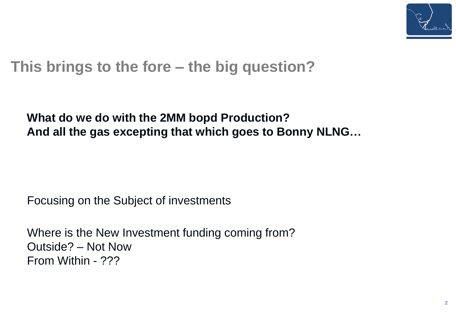

## **This brings to the fore – the big question?**

### **What do we do with the 2MM bopd Production? And all the gas excepting that which goes to Bonny NLNG…**

Focusing on the Subject of investments

Where is the New Investment funding coming from? Outside? – Not Now From Within - ???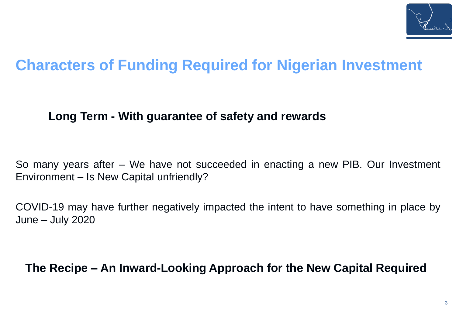

## **Characters of Funding Required for Nigerian Investment**

#### **Long Term - With guarantee of safety and rewards**

So many years after – We have not succeeded in enacting a new PIB. Our Investment Environment – Is New Capital unfriendly?

COVID-19 may have further negatively impacted the intent to have something in place by June – July 2020

**The Recipe – An Inward-Looking Approach for the New Capital Required**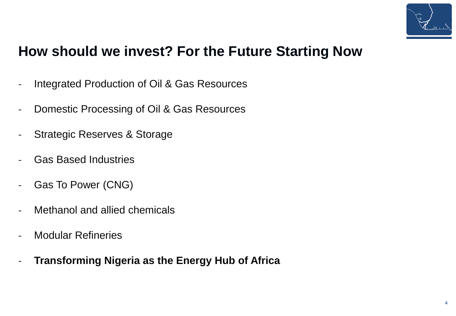

## **How should we invest? For the Future Starting Now**

- Integrated Production of Oil & Gas Resources
- Domestic Processing of Oil & Gas Resources
- Strategic Reserves & Storage
- Gas Based Industries
- Gas To Power (CNG)
- Methanol and allied chemicals
- Modular Refineries
- **Transforming Nigeria as the Energy Hub of Africa**